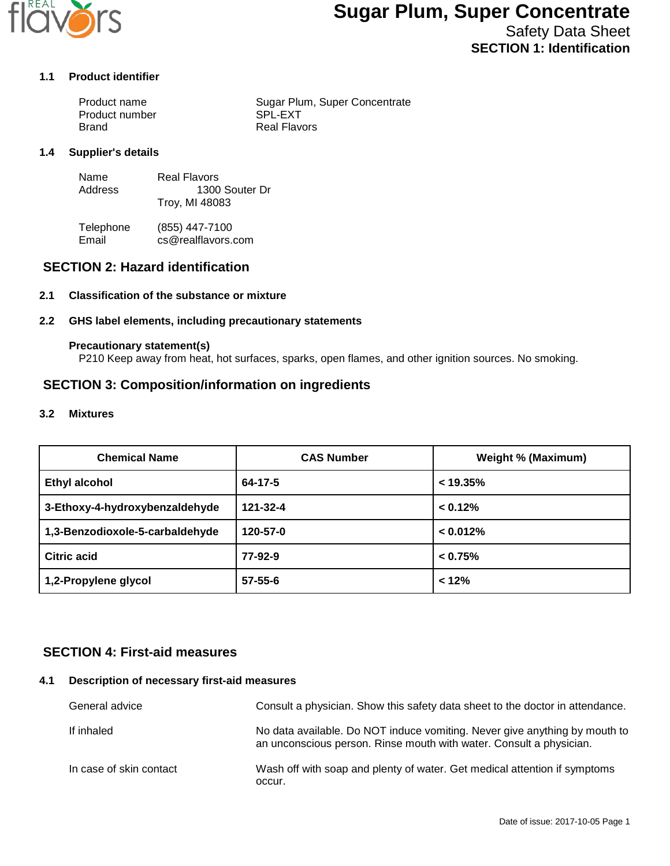

# **Sugar Plum, Super Concentrate**

Safety Data Sheet **SECTION 1: Identification**

#### **1.1 Product identifier**

| Product name   | Sugar Plum, Super Concentrate |
|----------------|-------------------------------|
| Product number | SPL-EXT                       |
| Brand          | <b>Real Flavors</b>           |

#### **1.4 Supplier's details**

| Name    | Real Flavors   |
|---------|----------------|
| Address | 1300 Souter Dr |
|         | Troy, MI 48083 |

Telephone (855) 447-7100<br>Email cs@realflavors. cs@realflavors.com

## **SECTION 2: Hazard identification**

#### **2.1 Classification of the substance or mixture**

#### **2.2 GHS label elements, including precautionary statements**

#### **Precautionary statement(s)**

P210 Keep away from heat, hot surfaces, sparks, open flames, and other ignition sources. No smoking.

## **SECTION 3: Composition/information on ingredients**

#### **3.2 Mixtures**

| <b>Chemical Name</b>            | <b>CAS Number</b> | Weight % (Maximum) |
|---------------------------------|-------------------|--------------------|
| <b>Ethyl alcohol</b>            | $64 - 17 - 5$     | < 19.35%           |
| 3-Ethoxy-4-hydroxybenzaldehyde  | 121-32-4          | < 0.12%            |
| 1,3-Benzodioxole-5-carbaldehyde | 120-57-0          | < 0.012%           |
| Citric acid                     | 77-92-9           | $< 0.75\%$         |
| 1,2-Propylene glycol            | $57 - 55 - 6$     | < 12%              |

## **SECTION 4: First-aid measures**

#### **4.1 Description of necessary first-aid measures**

| General advice          | Consult a physician. Show this safety data sheet to the doctor in attendance.                                                                     |
|-------------------------|---------------------------------------------------------------------------------------------------------------------------------------------------|
| If inhaled              | No data available. Do NOT induce vomiting. Never give anything by mouth to<br>an unconscious person. Rinse mouth with water. Consult a physician. |
| In case of skin contact | Wash off with soap and plenty of water. Get medical attention if symptoms<br>occur.                                                               |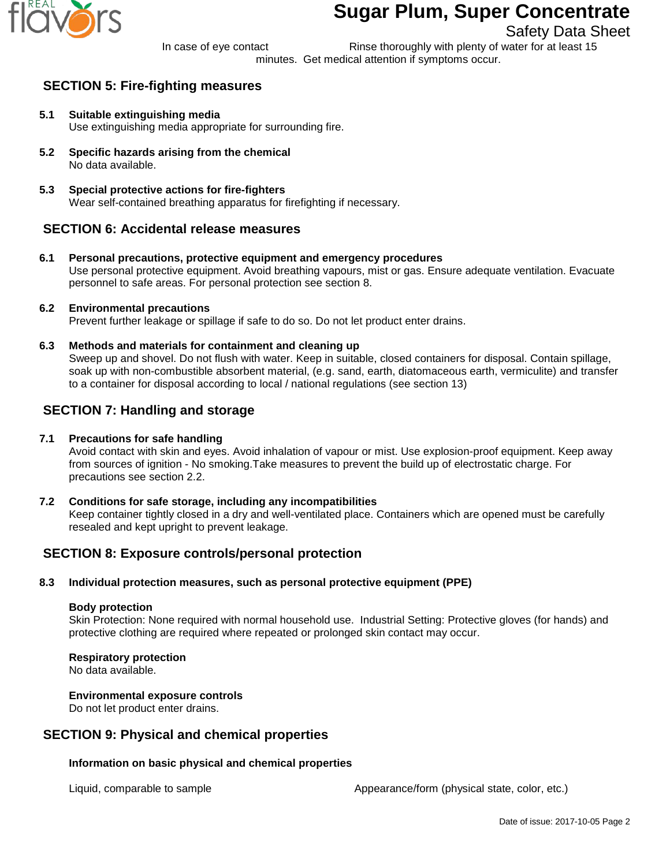

# **Sugar Plum, Super Concentrate**

# Safety Data Sheet

In case of eye contact Rinse thoroughly with plenty of water for at least 15 minutes. Get medical attention if symptoms occur.

# **SECTION 5: Fire-fighting measures**

- **5.1 Suitable extinguishing media** Use extinguishing media appropriate for surrounding fire.
- **5.2 Specific hazards arising from the chemical** No data available.
- **5.3 Special protective actions for fire-fighters** Wear self-contained breathing apparatus for firefighting if necessary.

# **SECTION 6: Accidental release measures**

**6.1 Personal precautions, protective equipment and emergency procedures** Use personal protective equipment. Avoid breathing vapours, mist or gas. Ensure adequate ventilation. Evacuate personnel to safe areas. For personal protection see section 8.

## **6.2 Environmental precautions**

Prevent further leakage or spillage if safe to do so. Do not let product enter drains.

**6.3 Methods and materials for containment and cleaning up**

Sweep up and shovel. Do not flush with water. Keep in suitable, closed containers for disposal. Contain spillage, soak up with non-combustible absorbent material, (e.g. sand, earth, diatomaceous earth, vermiculite) and transfer to a container for disposal according to local / national regulations (see section 13)

# **SECTION 7: Handling and storage**

## **7.1 Precautions for safe handling**

Avoid contact with skin and eyes. Avoid inhalation of vapour or mist. Use explosion-proof equipment. Keep away from sources of ignition - No smoking.Take measures to prevent the build up of electrostatic charge. For precautions see section 2.2.

**7.2 Conditions for safe storage, including any incompatibilities** Keep container tightly closed in a dry and well-ventilated place. Containers which are opened must be carefully resealed and kept upright to prevent leakage.

# **SECTION 8: Exposure controls/personal protection**

## **8.3 Individual protection measures, such as personal protective equipment (PPE)**

#### **Body protection**

Skin Protection: None required with normal household use. Industrial Setting: Protective gloves (for hands) and protective clothing are required where repeated or prolonged skin contact may occur.

## **Respiratory protection**

No data available.

## **Environmental exposure controls**

Do not let product enter drains.

# **SECTION 9: Physical and chemical properties**

## **Information on basic physical and chemical properties**

Liquid, comparable to sample  $\blacksquare$  Appearance/form (physical state, color, etc.)